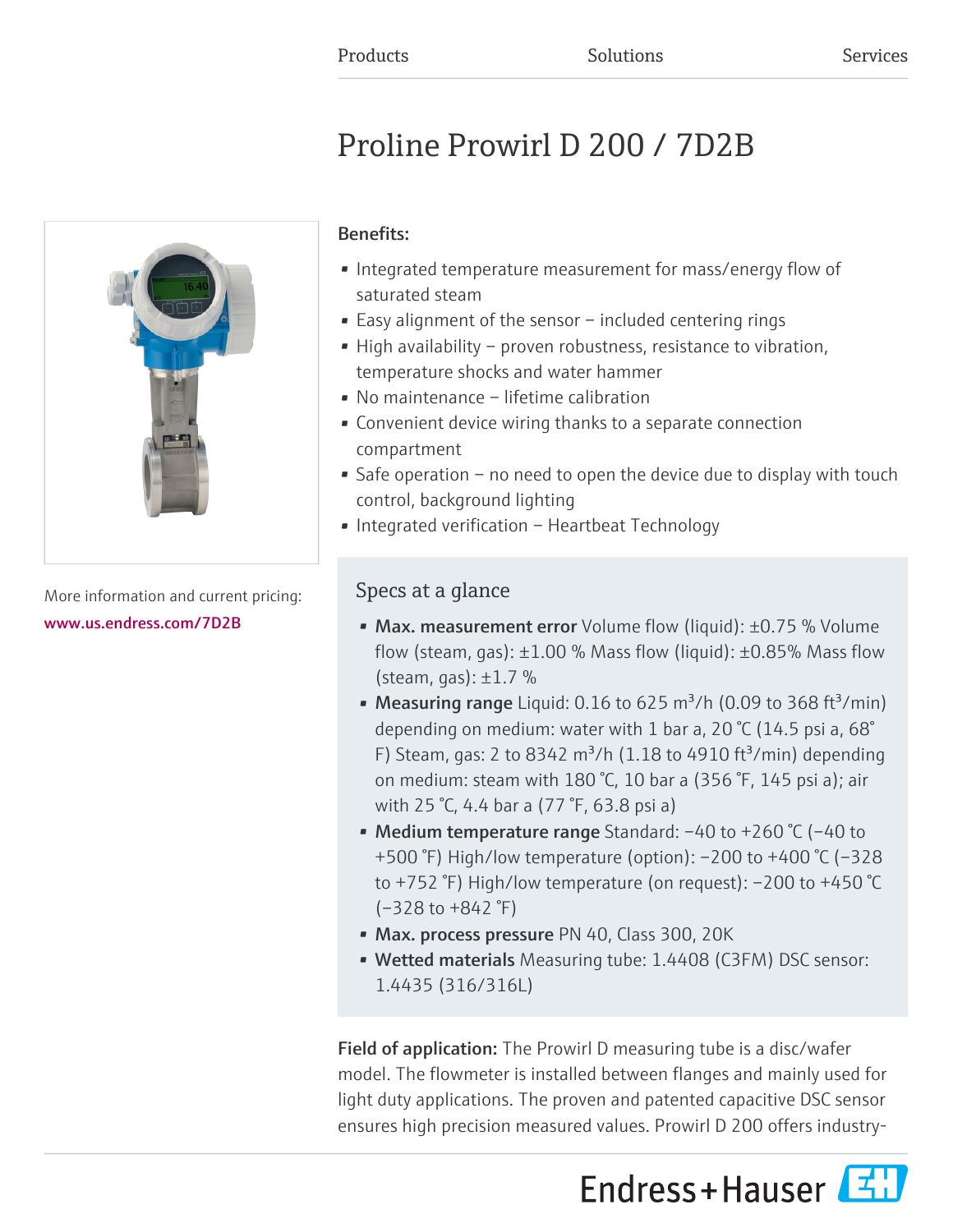# Proline Prowirl D 200 / 7D2B



More information and current pricing: [www.us.endress.com/7D2B](https://www.us.endress.com/7D2B)

# Benefits:

- Integrated temperature measurement for mass/energy flow of saturated steam
- Easy alignment of the sensor included centering rings
- High availability proven robustness, resistance to vibration, temperature shocks and water hammer
- No maintenance lifetime calibration
- Convenient device wiring thanks to a separate connection compartment
- Safe operation no need to open the device due to display with touch control, background lighting
- Integrated verification Heartbeat Technology

# Specs at a glance

- Max. measurement error Volume flow (liquid): ±0.75 % Volume flow (steam, gas):  $\pm 1.00$  % Mass flow (liquid):  $\pm 0.85$ % Mass flow (steam, gas):  $\pm 1.7$  %
- Measuring range Liquid: 0.16 to 625 m<sup>3</sup>/h (0.09 to 368 ft<sup>3</sup>/min) depending on medium: water with 1 bar a, 20 °C (14.5 psi a, 68° F) Steam, gas: 2 to 8342 m<sup>3</sup>/h (1.18 to 4910 ft<sup>3</sup>/min) depending on medium: steam with 180 °C, 10 bar a (356 °F, 145 psi a); air with 25 °C, 4.4 bar a (77 °F, 63.8 psi a)
- Medium temperature range Standard: –40 to +260 °C (–40 to +500 °F) High/low temperature (option): –200 to +400 °C (–328 to +752 °F) High/low temperature (on request): –200 to +450 °C (–328 to +842 °F)
- Max. process pressure PN 40, Class 300, 20K
- Wetted materials Measuring tube: 1.4408 (C3FM) DSC sensor: 1.4435 (316/316L)

Field of application: The Prowirl D measuring tube is a disc/wafer model. The flowmeter is installed between flanges and mainly used for light duty applications. The proven and patented capacitive DSC sensor ensures high precision measured values. Prowirl D 200 offers industry-

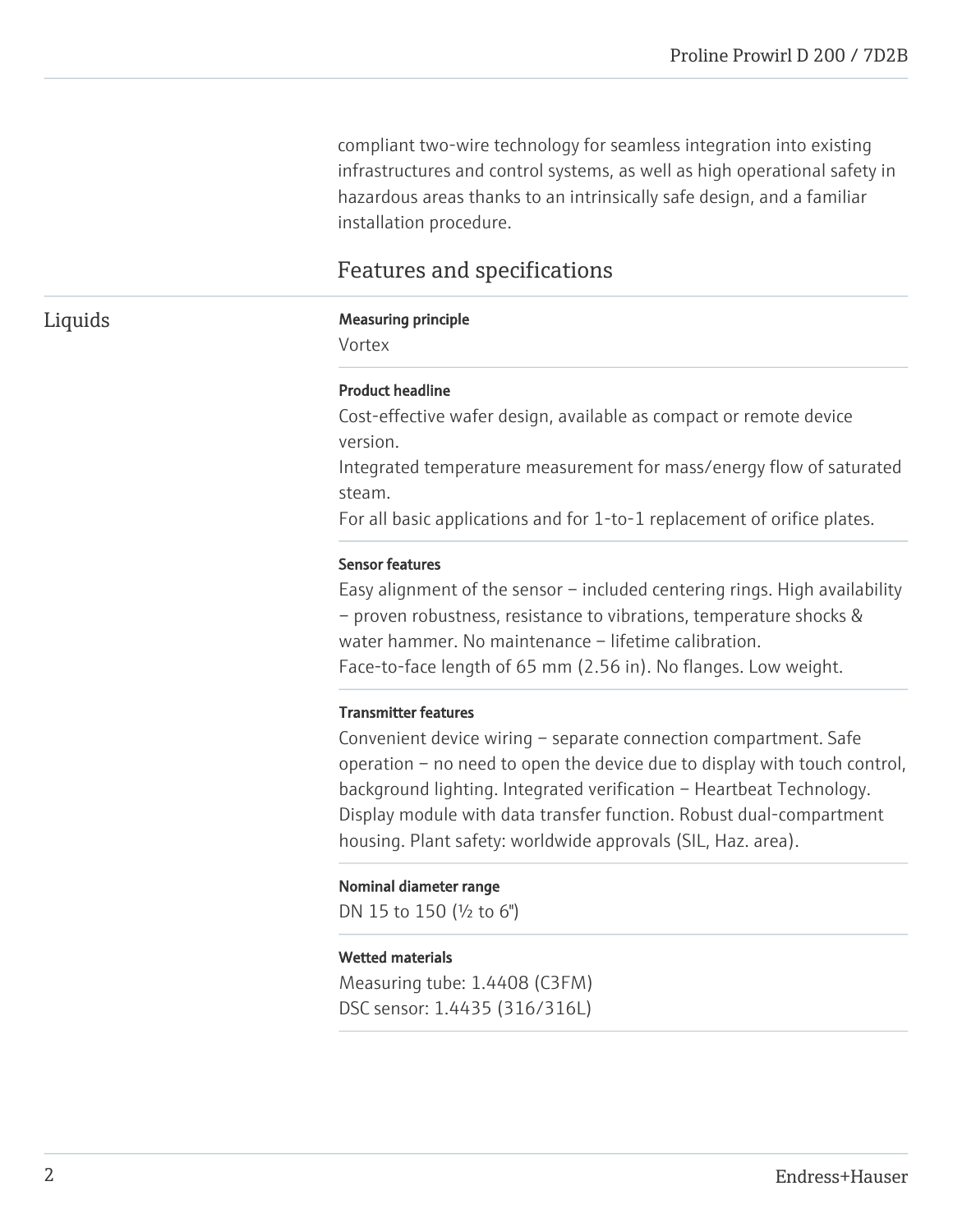compliant two-wire technology for seamless integration into existing infrastructures and control systems, as well as high operational safety in hazardous areas thanks to an intrinsically safe design, and a familiar installation procedure.

# Features and specifications

### Liquids Measuring principle

Vortex

#### Product headline

Cost-effective wafer design, available as compact or remote device version.

Integrated temperature measurement for mass/energy flow of saturated steam.

For all basic applications and for 1-to-1 replacement of orifice plates.

#### Sensor features

Easy alignment of the sensor – included centering rings. High availability – proven robustness, resistance to vibrations, temperature shocks & water hammer. No maintenance – lifetime calibration. Face-to-face length of 65 mm (2.56 in). No flanges. Low weight.

#### Transmitter features

Convenient device wiring – separate connection compartment. Safe operation – no need to open the device due to display with touch control, background lighting. Integrated verification – Heartbeat Technology. Display module with data transfer function. Robust dual-compartment housing. Plant safety: worldwide approvals (SIL, Haz. area).

#### Nominal diameter range

DN 15 to 150 (½ to 6")

#### Wetted materials

Measuring tube: 1.4408 (C3FM) DSC sensor: 1.4435 (316/316L)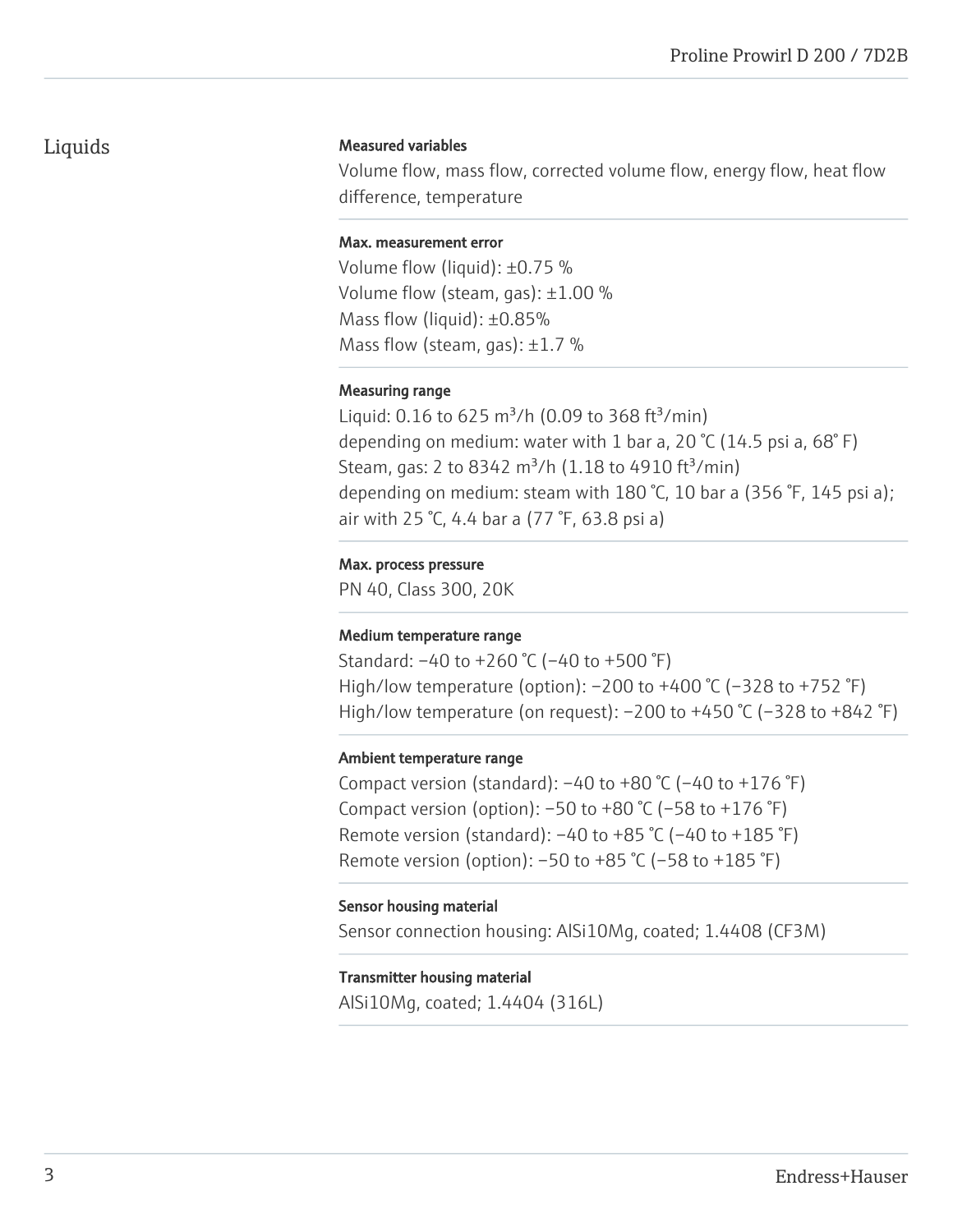# Liquids

#### Measured variables

Volume flow, mass flow, corrected volume flow, energy flow, heat flow difference, temperature

#### Max. measurement error

Volume flow (liquid): ±0.75 % Volume flow (steam, gas): ±1.00 % Mass flow (liquid): ±0.85% Mass flow (steam, gas):  $\pm 1.7$  %

# Measuring range

Liquid:  $0.16$  to 625 m<sup>3</sup>/h (0.09 to 368 ft<sup>3</sup>/min) depending on medium: water with 1 bar a, 20  $\degree$ C (14.5 psi a, 68 $\degree$ F) Steam, gas: 2 to 8342 m<sup>3</sup>/h (1.18 to 4910 ft<sup>3</sup>/min) depending on medium: steam with 180 °C, 10 bar a (356 °F, 145 psi a); air with 25 °C, 4.4 bar a (77 °F, 63.8 psi a)

# Max. process pressure

PN 40, Class 300, 20K

# Medium temperature range

Standard: –40 to +260 °C (–40 to +500 °F) High/low temperature (option): –200 to +400 °C (–328 to +752 °F) High/low temperature (on request):  $-200$  to  $+450$  °C ( $-328$  to  $+842$  °F)

# Ambient temperature range

Compact version (standard):  $-40$  to  $+80$  °C ( $-40$  to  $+176$  °F) Compact version (option):  $-50$  to  $+80$  °C ( $-58$  to  $+176$  °F) Remote version (standard):  $-40$  to  $+85$  °C ( $-40$  to  $+185$  °F) Remote version (option): –50 to +85 °C (–58 to +185 °F)

#### Sensor housing material

Sensor connection housing: AlSi10Mg, coated; 1.4408 (CF3M)

# Transmitter housing material

AlSi10Mg, coated; 1.4404 (316L)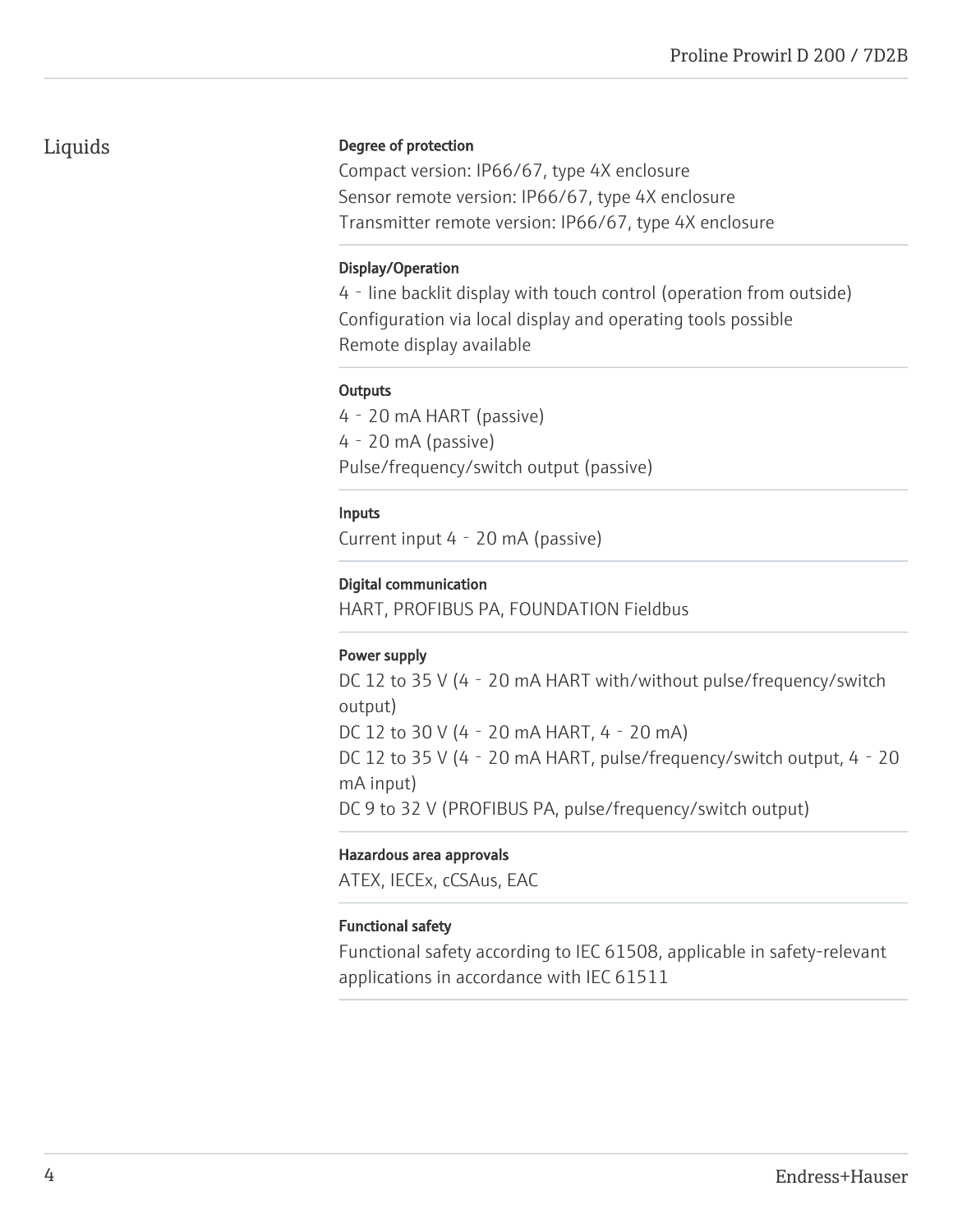# Liquids

# Degree of protection

Compact version: IP66/67, type 4X enclosure Sensor remote version: IP66/67, type 4X enclosure Transmitter remote version: IP66/67, type 4X enclosure

# Display/Operation

4‐line backlit display with touch control (operation from outside) Configuration via local display and operating tools possible Remote display available

# **Outputs**

4‐20 mA HART (passive) 4‐20 mA (passive) Pulse/frequency/switch output (passive)

# Inputs

Current input 4‐20 mA (passive)

# Digital communication

HART, PROFIBUS PA, FOUNDATION Fieldbus

# Power supply

DC 12 to 35 V (4 - 20 mA HART with/without pulse/frequency/switch output) DC 12 to 30 V (4‐20 mA HART, 4‐20 mA) DC 12 to 35 V (4 - 20 mA HART, pulse/frequency/switch output, 4 - 20 mA input) DC 9 to 32 V (PROFIBUS PA, pulse/frequency/switch output)

# Hazardous area approvals

ATEX, IECEx, cCSAus, EAC

# Functional safety

Functional safety according to IEC 61508, applicable in safety-relevant applications in accordance with IEC 61511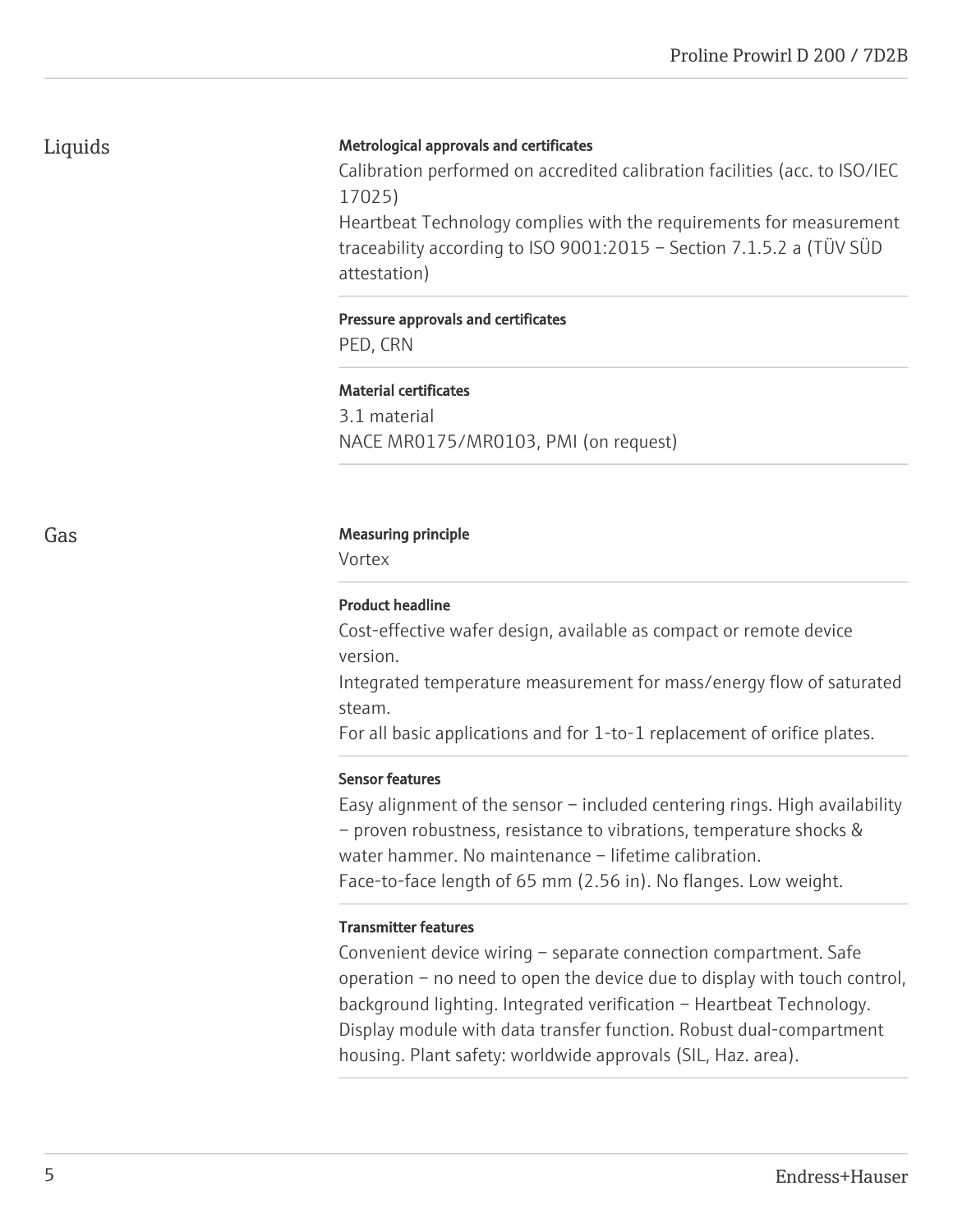Liquids

# Metrological approvals and certificates

Calibration performed on accredited calibration facilities (acc. to ISO/IEC 17025)

Heartbeat Technology complies with the requirements for measurement traceability according to ISO 9001:2015 – Section 7.1.5.2 a (TÜV SÜD attestation)

#### Pressure approvals and certificates

PED, CRN

#### Material certificates

3.1 material NACE MR0175/MR0103, PMI (on request)

#### Gas **Gas** Measuring principle

Vortex

#### Product headline

Cost-effective wafer design, available as compact or remote device version.

Integrated temperature measurement for mass/energy flow of saturated steam.

For all basic applications and for 1-to-1 replacement of orifice plates.

#### Sensor features

Easy alignment of the sensor – included centering rings. High availability – proven robustness, resistance to vibrations, temperature shocks & water hammer. No maintenance – lifetime calibration. Face-to-face length of 65 mm (2.56 in). No flanges. Low weight.

# Transmitter features

Convenient device wiring – separate connection compartment. Safe operation – no need to open the device due to display with touch control, background lighting. Integrated verification – Heartbeat Technology. Display module with data transfer function. Robust dual-compartment housing. Plant safety: worldwide approvals (SIL, Haz. area).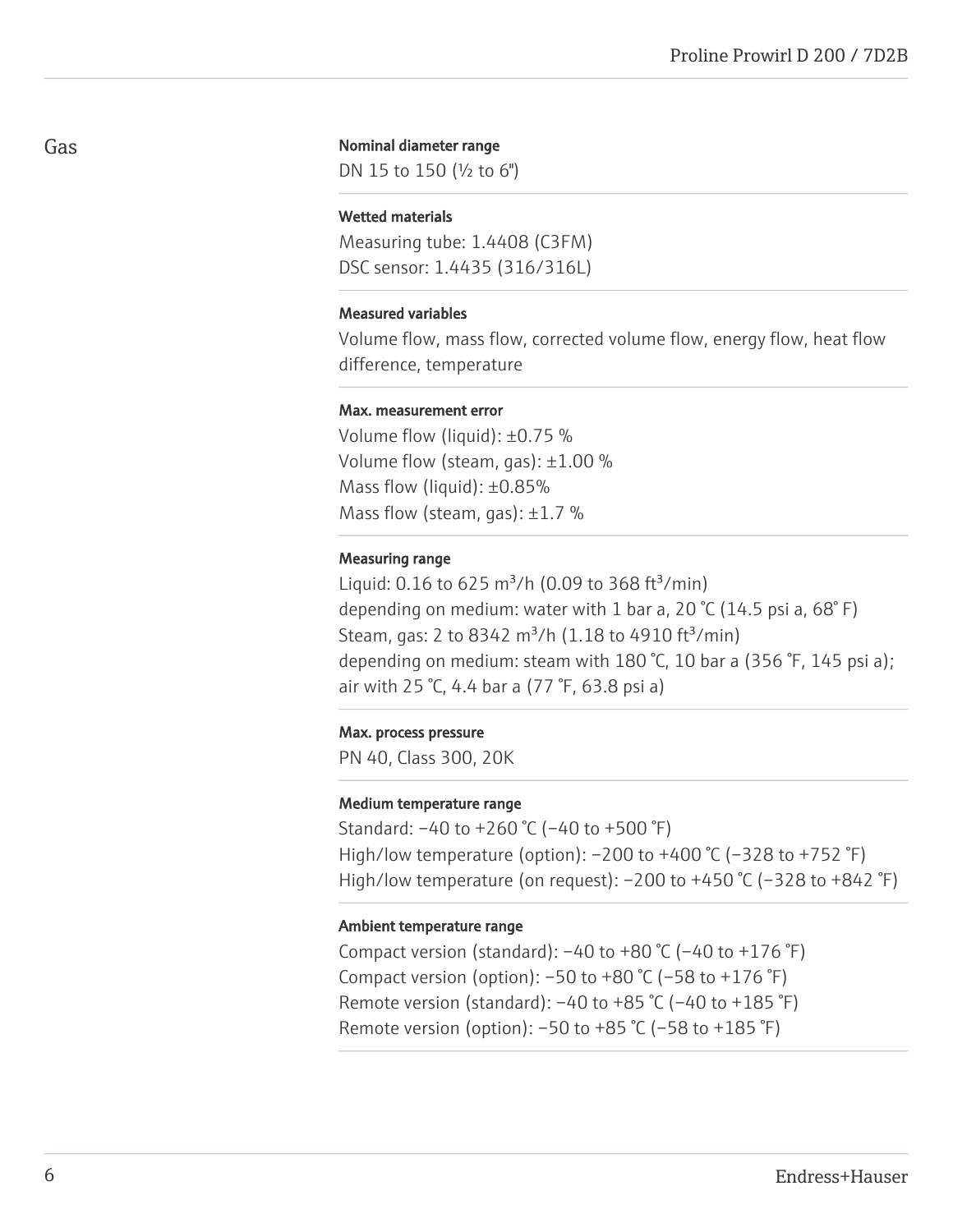### Gas

#### Nominal diameter range

DN 15 to 150 (½ to 6")

#### Wetted materials

Measuring tube: 1.4408 (C3FM) DSC sensor: 1.4435 (316/316L)

#### Measured variables

Volume flow, mass flow, corrected volume flow, energy flow, heat flow difference, temperature

#### Max. measurement error

Volume flow (liquid): ±0.75 % Volume flow (steam, gas): ±1.00 % Mass flow (liquid): ±0.85% Mass flow (steam, gas):  $\pm 1.7$  %

#### Measuring range

Liquid: 0.16 to 625 m<sup>3</sup>/h (0.09 to 368 ft<sup>3</sup>/min) depending on medium: water with 1 bar a, 20  $°C$  (14.5 psi a, 68 $°$  F) Steam, gas: 2 to 8342 m<sup>3</sup>/h (1.18 to 4910 ft<sup>3</sup>/min) depending on medium: steam with 180 °C, 10 bar a (356 °F, 145 psi a); air with 25 °C, 4.4 bar a (77 °F, 63.8 psi a)

### Max. process pressure

PN 40, Class 300, 20K

#### Medium temperature range

Standard: –40 to +260 °C (–40 to +500 °F) High/low temperature (option): –200 to +400 °C (–328 to +752 °F) High/low temperature (on request): -200 to +450 °C (-328 to +842 °F)

#### Ambient temperature range

Compact version (standard):  $-40$  to  $+80$  °C ( $-40$  to  $+176$  °F) Compact version (option):  $-50$  to  $+80$  °C ( $-58$  to  $+176$  °F) Remote version (standard):  $-40$  to  $+85$  °C ( $-40$  to  $+185$  °F) Remote version (option):  $-50$  to  $+85$  °C ( $-58$  to  $+185$  °F)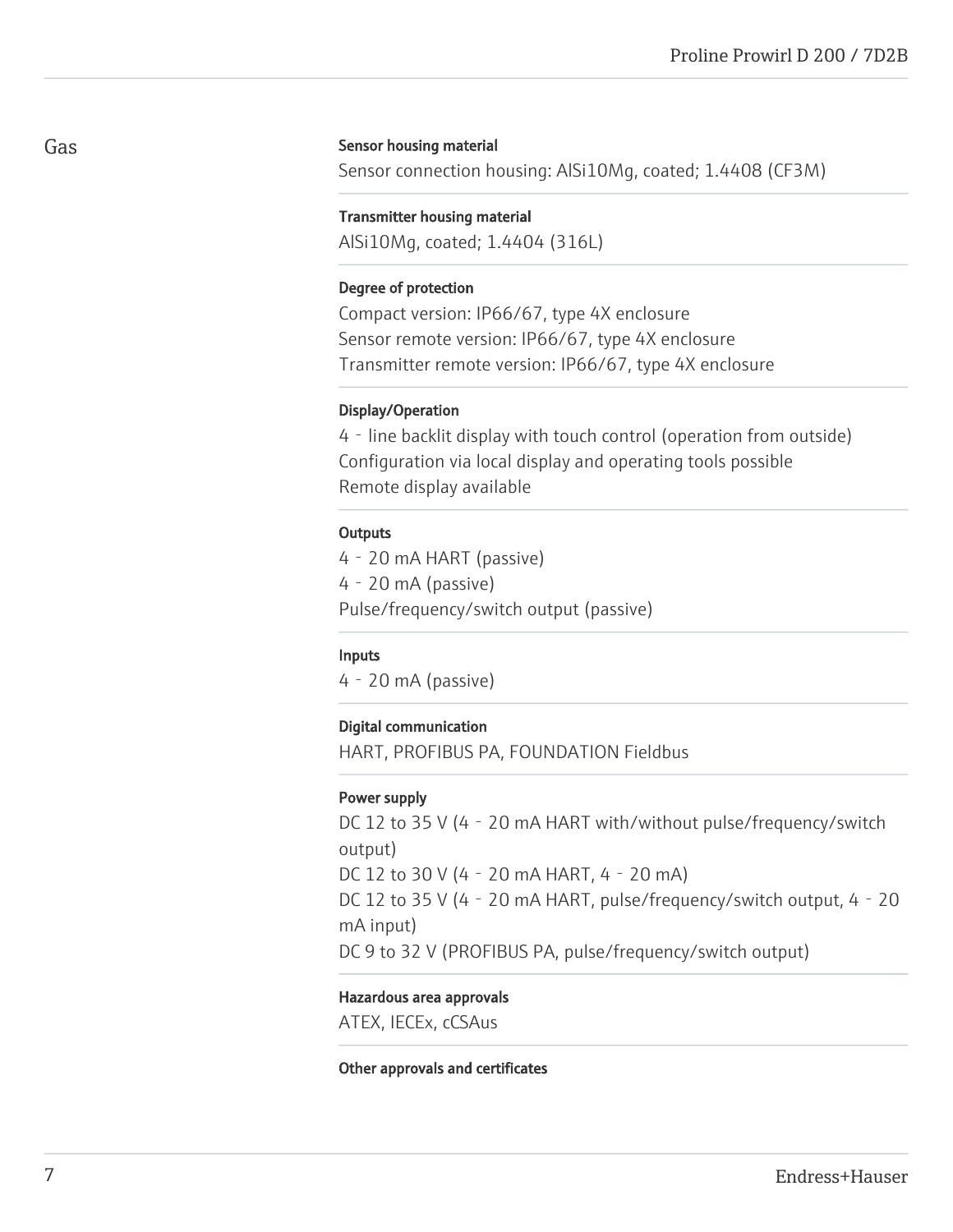#### Sensor housing material

Sensor connection housing: AlSi10Mg, coated; 1.4408 (CF3M)

#### Transmitter housing material

AlSi10Mg, coated; 1.4404 (316L)

#### Degree of protection

Compact version: IP66/67, type 4X enclosure Sensor remote version: IP66/67, type 4X enclosure Transmitter remote version: IP66/67, type 4X enclosure

#### Display/Operation

4‐line backlit display with touch control (operation from outside) Configuration via local display and operating tools possible Remote display available

#### **Outputs**

4‐20 mA HART (passive) 4‐20 mA (passive) Pulse/frequency/switch output (passive)

#### Inputs

4‐20 mA (passive)

#### Digital communication

HART, PROFIBUS PA, FOUNDATION Fieldbus

#### Power supply

DC 12 to 35 V (4 - 20 mA HART with/without pulse/frequency/switch output) DC 12 to 30 V (4‐20 mA HART, 4‐20 mA) DC 12 to 35 V (4 - 20 mA HART, pulse/frequency/switch output, 4 - 20 mA input) DC 9 to 32 V (PROFIBUS PA, pulse/frequency/switch output)

#### Hazardous area approvals

ATEX, IECEx, cCSAus

#### Other approvals and certificates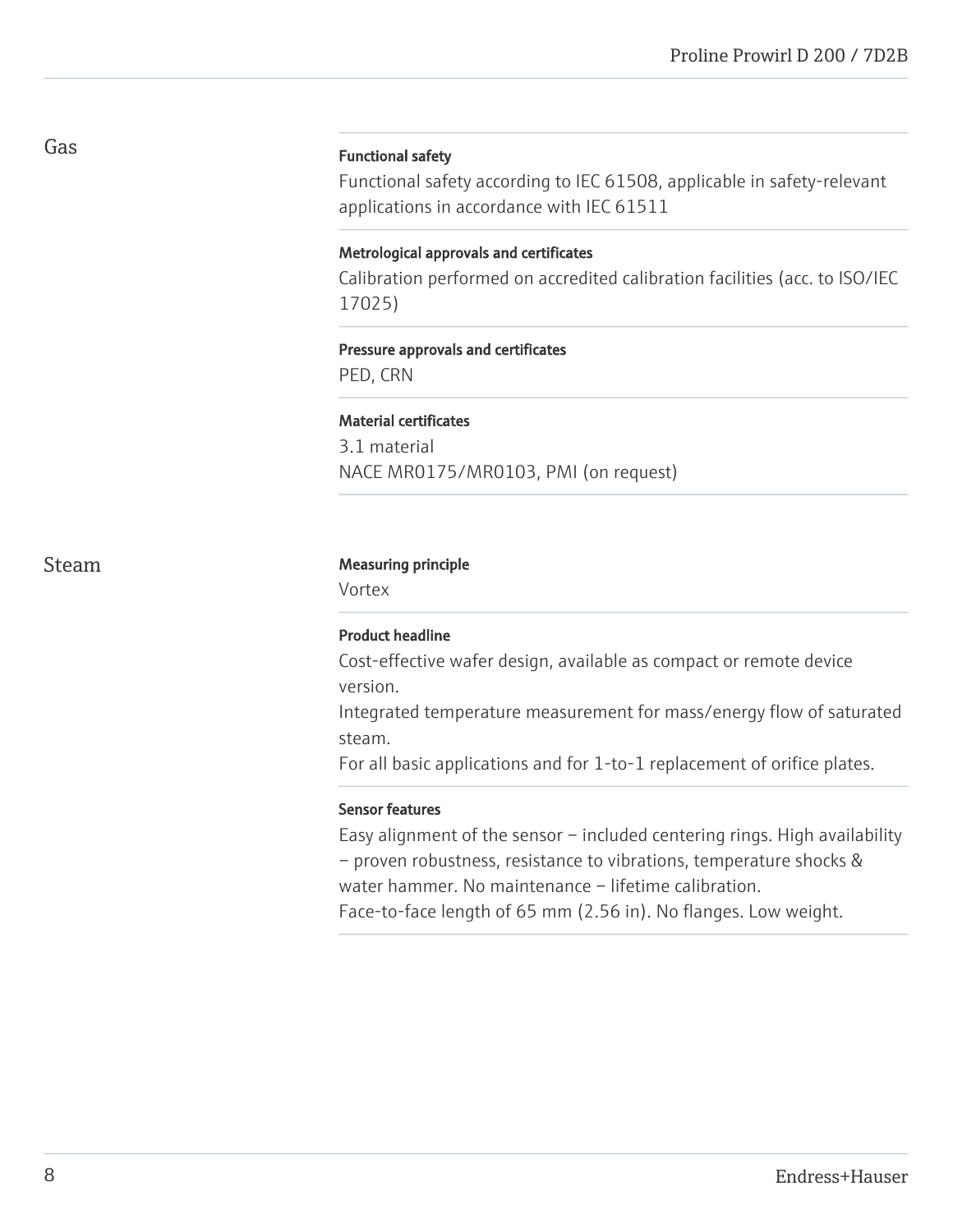#### Functional safety

Functional safety according to IEC 61508, applicable in safety-relevant applications in accordance with IEC 61511

### Metrological approvals and certificates

Calibration performed on accredited calibration facilities (acc. to ISO/IEC 17025)

#### Pressure approvals and certificates

PED, CRN

#### Material certificates

3.1 material NACE MR0175/MR0103, PMI (on request)

# Steam Measuring principle

Vortex

# Product headline

Cost-effective wafer design, available as compact or remote device version.

Integrated temperature measurement for mass/energy flow of saturated steam.

For all basic applications and for 1-to-1 replacement of orifice plates.

# Sensor features

Easy alignment of the sensor – included centering rings. High availability – proven robustness, resistance to vibrations, temperature shocks & water hammer. No maintenance – lifetime calibration.

Face-to-face length of 65 mm (2.56 in). No flanges. Low weight.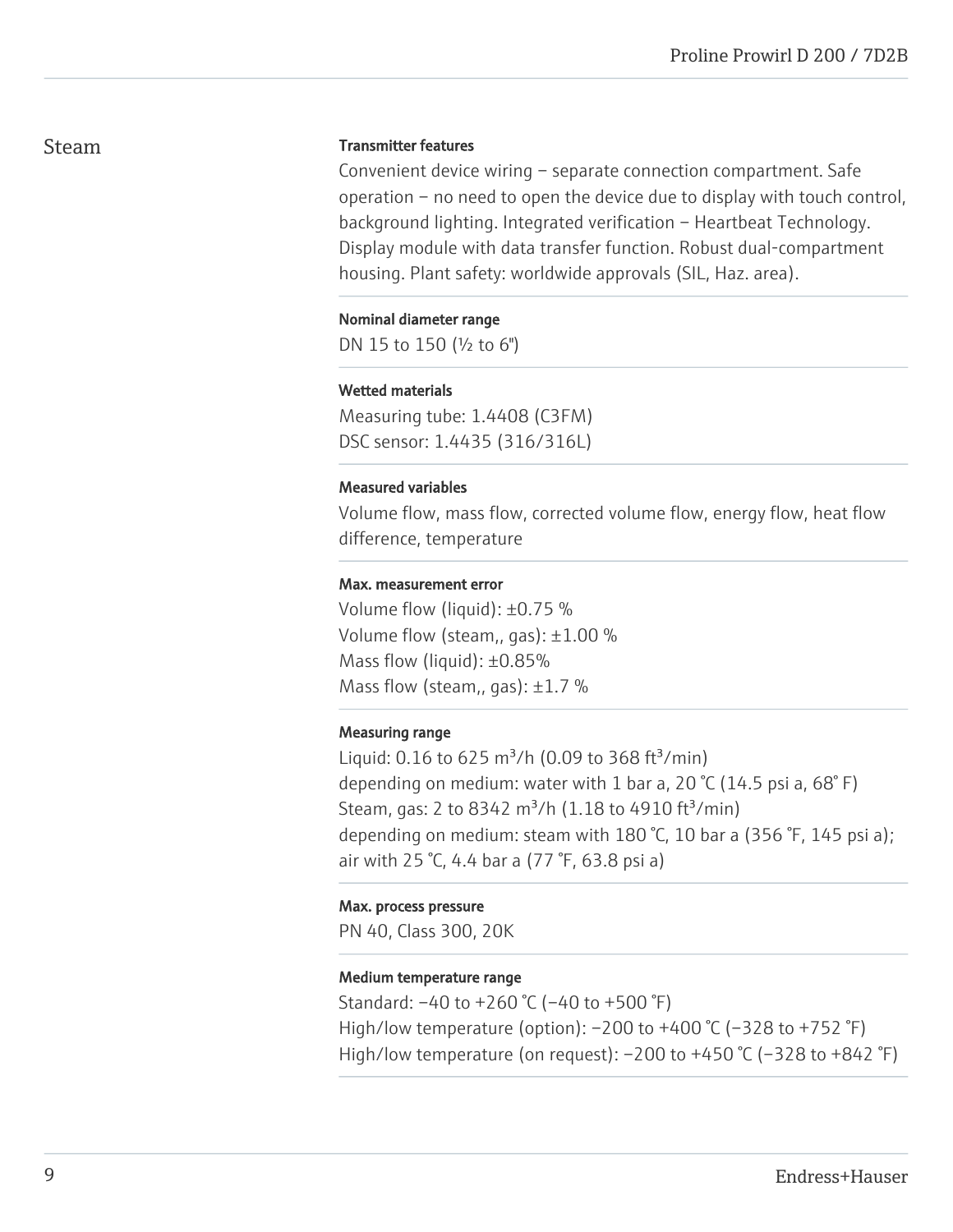# Steam

#### Transmitter features

Convenient device wiring – separate connection compartment. Safe operation – no need to open the device due to display with touch control, background lighting. Integrated verification – Heartbeat Technology. Display module with data transfer function. Robust dual-compartment housing. Plant safety: worldwide approvals (SIL, Haz. area).

#### Nominal diameter range

DN 15 to 150 (½ to 6")

# Wetted materials

Measuring tube: 1.4408 (C3FM) DSC sensor: 1.4435 (316/316L)

#### Measured variables

Volume flow, mass flow, corrected volume flow, energy flow, heat flow difference, temperature

#### Max. measurement error

Volume flow (liquid): ±0.75 % Volume flow (steam,, gas):  $\pm 1.00$  % Mass flow (liquid): ±0.85% Mass flow (steam,, gas):  $\pm 1.7$  %

# Measuring range

Liquid: 0.16 to 625 m<sup>3</sup>/h (0.09 to 368 ft<sup>3</sup>/min) depending on medium: water with 1 bar a, 20  $\degree$ C (14.5 psi a, 68 $\degree$ F) Steam, gas: 2 to 8342 m<sup>3</sup>/h (1.18 to 4910 ft<sup>3</sup>/min) depending on medium: steam with 180 °C, 10 bar a (356 °F, 145 psi a); air with 25 °C, 4.4 bar a (77 °F, 63.8 psi a)

#### Max. process pressure

PN 40, Class 300, 20K

# Medium temperature range

Standard: –40 to +260 °C (–40 to +500 °F) High/low temperature (option): –200 to +400 °C (–328 to +752 °F) High/low temperature (on request):  $-200$  to  $+450$  °C ( $-328$  to  $+842$  °F)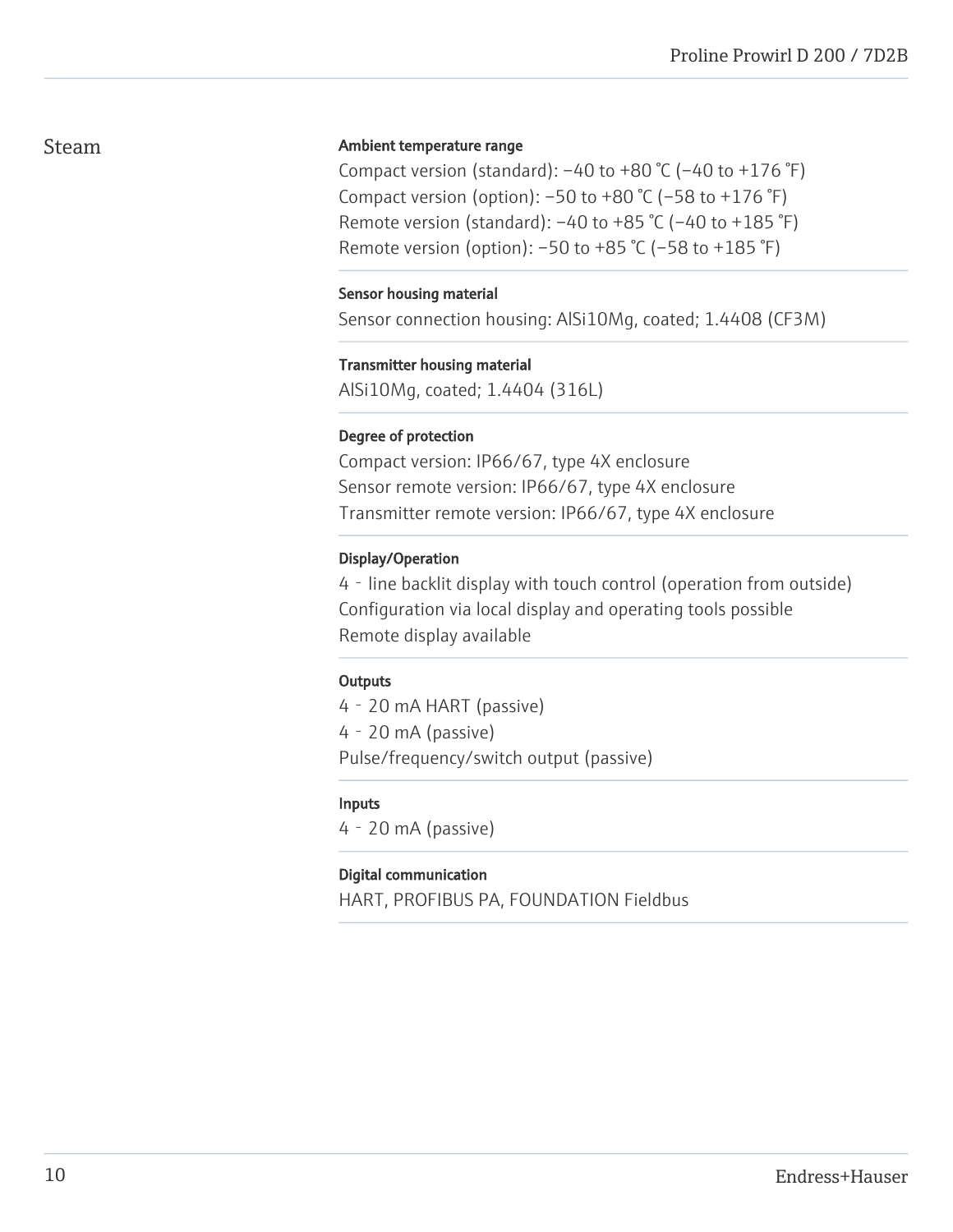# Steam

# Ambient temperature range

Compact version (standard):  $-40$  to  $+80$  °C ( $-40$  to  $+176$  °F) Compact version (option):  $-50$  to  $+80$  °C ( $-58$  to  $+176$  °F) Remote version (standard):  $-40$  to  $+85$  °C ( $-40$  to  $+185$  °F) Remote version (option): –50 to +85 °C (–58 to +185 °F)

### Sensor housing material

Sensor connection housing: AlSi10Mg, coated; 1.4408 (CF3M)

#### Transmitter housing material

AlSi10Mg, coated; 1.4404 (316L)

#### Degree of protection

Compact version: IP66/67, type 4X enclosure Sensor remote version: IP66/67, type 4X enclosure Transmitter remote version: IP66/67, type 4X enclosure

# Display/Operation

4‐line backlit display with touch control (operation from outside) Configuration via local display and operating tools possible Remote display available

# **Outputs**

4‐20 mA HART (passive) 4‐20 mA (passive) Pulse/frequency/switch output (passive)

# Inputs

4‐20 mA (passive)

# Digital communication

HART, PROFIBUS PA, FOUNDATION Fieldbus